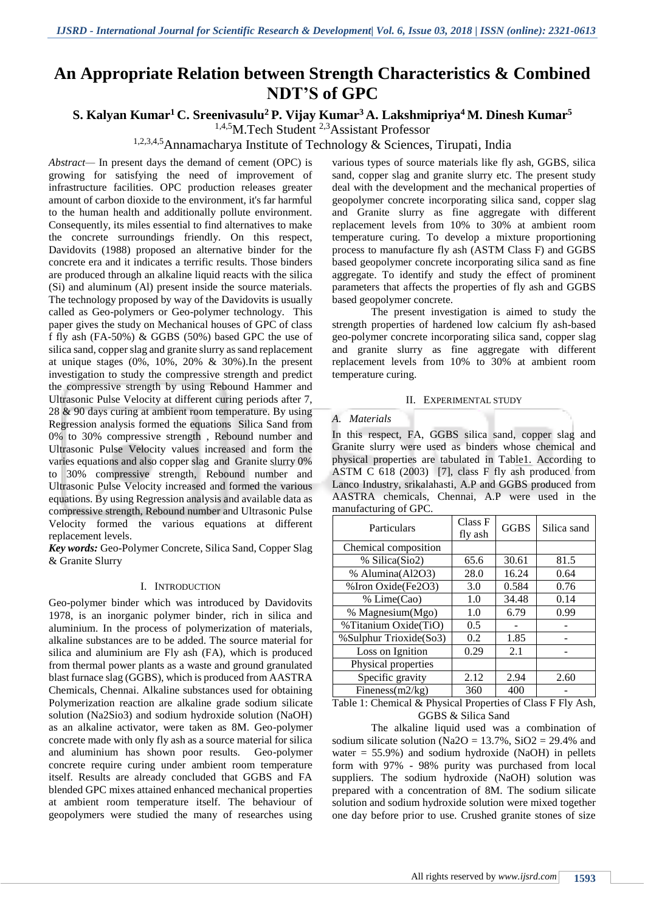# **An Appropriate Relation between Strength Characteristics & Combined NDT'S of GPC**

# **S. Kalyan Kumar<sup>1</sup> C. Sreenivasulu<sup>2</sup> P. Vijay Kumar<sup>3</sup> A. Lakshmipriya<sup>4</sup>M. Dinesh Kumar<sup>5</sup>**

<sup>1,4,5</sup>M.Tech Student<sup>2,3</sup>Assistant Professor

# 1,2,3,4,5Annamacharya Institute of Technology & Sciences, Tirupati, India

*Abstract—* In present days the demand of cement (OPC) is growing for satisfying the need of improvement of infrastructure facilities. OPC production releases greater amount of carbon dioxide to the environment, it's far harmful to the human health and additionally pollute environment. Consequently, its miles essential to find alternatives to make the concrete surroundings friendly. On this respect, Davidovits (1988) proposed an alternative binder for the concrete era and it indicates a terrific results. Those binders are produced through an alkaline liquid reacts with the silica (Si) and aluminum (Al) present inside the source materials. The technology proposed by way of the Davidovits is usually called as Geo-polymers or Geo-polymer technology. This paper gives the study on Mechanical houses of GPC of class f fly ash (FA-50%) & GGBS (50%) based GPC the use of silica sand, copper slag and granite slurry as sand replacement at unique stages  $(0\%, 10\%, 20\% \& 30\%).$  In the present investigation to study the compressive strength and predict the compressive strength by using Rebound Hammer and Ultrasonic Pulse Velocity at different curing periods after 7, 28 & 90 days curing at ambient room temperature. By using Regression analysis formed the equations Silica Sand from 0% to 30% compressive strength , Rebound number and Ultrasonic Pulse Velocity values increased and form the varies equations and also copper slag and Granite slurry 0% to 30% compressive strength, Rebound number and Ultrasonic Pulse Velocity increased and formed the various equations. By using Regression analysis and available data as compressive strength, Rebound number and Ultrasonic Pulse Velocity formed the various equations at different replacement levels.

*Key words:* Geo-Polymer Concrete, Silica Sand, Copper Slag & Granite Slurry

#### I. INTRODUCTION

Geo-polymer binder which was introduced by Davidovits 1978, is an inorganic polymer binder, rich in silica and aluminium. In the process of polymerization of materials, alkaline substances are to be added. The source material for silica and aluminium are Fly ash (FA), which is produced from thermal power plants as a waste and ground granulated blast furnace slag (GGBS), which is produced from AASTRA Chemicals, Chennai. Alkaline substances used for obtaining Polymerization reaction are alkaline grade sodium silicate solution (Na2Sio3) and sodium hydroxide solution (NaOH) as an alkaline activator, were taken as 8M. Geo-polymer concrete made with only fly ash as a source material for silica and aluminium has shown poor results. Geo-polymer concrete require curing under ambient room temperature itself. Results are already concluded that GGBS and FA blended GPC mixes attained enhanced mechanical properties at ambient room temperature itself. The behaviour of geopolymers were studied the many of researches using

various types of source materials like fly ash, GGBS, silica sand, copper slag and granite slurry etc. The present study deal with the development and the mechanical properties of geopolymer concrete incorporating silica sand, copper slag and Granite slurry as fine aggregate with different replacement levels from 10% to 30% at ambient room temperature curing. To develop a mixture proportioning process to manufacture fly ash (ASTM Class F) and GGBS based geopolymer concrete incorporating silica sand as fine aggregate. To identify and study the effect of prominent parameters that affects the properties of fly ash and GGBS based geopolymer concrete.

The present investigation is aimed to study the strength properties of hardened low calcium fly ash-based geo-polymer concrete incorporating silica sand, copper slag and granite slurry as fine aggregate with different replacement levels from 10% to 30% at ambient room temperature curing.

#### II. EXPERIMENTAL STUDY

#### *A. Materials*

In this respect, FA, GGBS silica sand, copper slag and Granite slurry were used as binders whose chemical and physical properties are tabulated in Table1. According to ASTM C 618 (2003) [7], class F fly ash produced from Lanco Industry, srikalahasti, A.P and GGBS produced from AASTRA chemicals, Chennai, A.P were used in the manufacturing of GPC.

| Particulars            | Class F<br>fly ash | <b>GGBS</b> | Silica sand |
|------------------------|--------------------|-------------|-------------|
| Chemical composition   |                    |             |             |
| % Silica(Sio2)         | 65.6               | 30.61       | 81.5        |
| % Alumina(Al2O3)       | 28.0               | 16.24       | 0.64        |
| % Iron Oxide(Fe2O3)    | 3.0                | 0.584       | 0.76        |
| % Lime(Cao)            | 1.0                | 34.48       | 0.14        |
| % Magnesium(Mgo)       | 1.0                | 6.79        | 0.99        |
| %Titanium Oxide(TiO)   | 0.5                |             |             |
| %Sulphur Trioxide(So3) | 0.2                | 1.85        |             |
| Loss on Ignition       | 0.29               | 2.1         |             |
| Physical properties    |                    |             |             |
| Specific gravity       | 2.12               | 2.94        | 2.60        |
| Fineness $(m2/kg)$     | 360                | 400         |             |

Table 1: Chemical & Physical Properties of Class F Fly Ash, GGBS & Silica Sand

The alkaline liquid used was a combination of sodium silicate solution (Na2O =  $13.7\%$ , SiO2 = 29.4% and water  $= 55.9\%$ ) and sodium hydroxide (NaOH) in pellets form with 97% - 98% purity was purchased from local suppliers. The sodium hydroxide (NaOH) solution was prepared with a concentration of 8M. The sodium silicate solution and sodium hydroxide solution were mixed together one day before prior to use. Crushed granite stones of size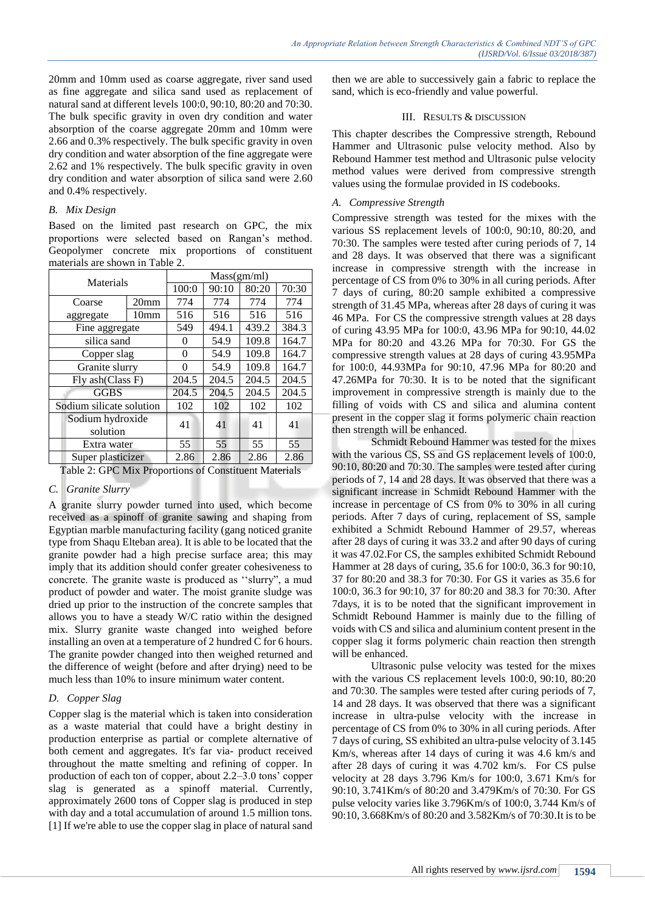20mm and 10mm used as coarse aggregate, river sand used as fine aggregate and silica sand used as replacement of natural sand at different levels 100:0, 90:10, 80:20 and 70:30. The bulk specific gravity in oven dry condition and water absorption of the coarse aggregate 20mm and 10mm were 2.66 and 0.3% respectively. The bulk specific gravity in oven dry condition and water absorption of the fine aggregate were 2.62 and 1% respectively. The bulk specific gravity in oven dry condition and water absorption of silica sand were 2.60 and 0.4% respectively.

#### *B. Mix Design*

Based on the limited past research on GPC, the mix proportions were selected based on Rangan's method. Geopolymer concrete mix proportions of constituent materials are shown in Table 2.

| Materials                |                  |       | Mass(gm/ml) |                                      |       |  |
|--------------------------|------------------|-------|-------------|--------------------------------------|-------|--|
|                          |                  | 100:0 | 90:10       | 80:20                                | 70:30 |  |
| Coarse                   | 20 <sub>mm</sub> | 774   | 774         | 774                                  | 774   |  |
| aggregate                | 10 <sub>mm</sub> | 516   | 516         | 516                                  | 516   |  |
| Fine aggregate           |                  | 549   | 494.1       | 439.2                                | 384.3 |  |
| silica sand              |                  | 0     | 54.9        | 109.8                                | 164.7 |  |
| Copper slag              |                  | 0     | 54.9        | 109.8                                | 164.7 |  |
| Granite slurry           |                  | 0     | 54.9        | 109.8                                | 164.7 |  |
| Fly ash(Class F)         |                  | 204.5 | 204.5       | 204.5                                | 204.5 |  |
| <b>GGBS</b>              |                  | 204.5 | 204.5       | 204.5                                | 204.5 |  |
| Sodium silicate solution |                  | 102   | 102         | 102                                  | 102   |  |
| Sodium hydroxide         |                  | 41    | 41          |                                      |       |  |
| solution                 |                  |       |             | 41<br>41<br>55<br>55<br>2.86<br>2.86 |       |  |
| Extra water              |                  | 55    | 55          |                                      |       |  |
| Super plasticizer        |                  | 2.86  | 2.86        |                                      |       |  |

Table 2: GPC Mix Proportions of Constituent Materials

## *C. Granite Slurry*

A granite slurry powder turned into used, which become received as a spinoff of granite sawing and shaping from Egyptian marble manufacturing facility (gang noticed granite type from Shaqu Elteban area). It is able to be located that the granite powder had a high precise surface area; this may imply that its addition should confer greater cohesiveness to concrete. The granite waste is produced as ''slurry", a mud product of powder and water. The moist granite sludge was dried up prior to the instruction of the concrete samples that allows you to have a steady W/C ratio within the designed mix. Slurry granite waste changed into weighed before installing an oven at a temperature of 2 hundred C for 6 hours. The granite powder changed into then weighed returned and the difference of weight (before and after drying) need to be much less than 10% to insure minimum water content.

## *D. Copper Slag*

Copper slag is the material which is taken into consideration as a waste material that could have a bright destiny in production enterprise as partial or complete alternative of both cement and aggregates. It's far via- product received throughout the matte smelting and refining of copper. In production of each ton of copper, about 2.2–3.0 tons' copper slag is generated as a spinoff material. Currently, approximately 2600 tons of Copper slag is produced in step with day and a total accumulation of around 1.5 million tons. [1] If we're able to use the copper slag in place of natural sand

then we are able to successively gain a fabric to replace the sand, which is eco-friendly and value powerful.

### III. RESULTS & DISCUSSION

This chapter describes the Compressive strength, Rebound Hammer and Ultrasonic pulse velocity method. Also by Rebound Hammer test method and Ultrasonic pulse velocity method values were derived from compressive strength values using the formulae provided in IS codebooks.

## *A. Compressive Strength*

Compressive strength was tested for the mixes with the various SS replacement levels of 100:0, 90:10, 80:20, and 70:30. The samples were tested after curing periods of 7, 14 and 28 days. It was observed that there was a significant increase in compressive strength with the increase in percentage of CS from 0% to 30% in all curing periods. After 7 days of curing, 80:20 sample exhibited a compressive strength of 31.45 MPa, whereas after 28 days of curing it was 46 MPa. For CS the compressive strength values at 28 days of curing 43.95 MPa for 100:0, 43.96 MPa for 90:10, 44.02 MPa for 80:20 and 43.26 MPa for 70:30. For GS the compressive strength values at 28 days of curing 43.95MPa for 100:0, 44.93MPa for 90:10, 47.96 MPa for 80:20 and 47.26MPa for 70:30. It is to be noted that the significant improvement in compressive strength is mainly due to the filling of voids with CS and silica and alumina content present in the copper slag it forms polymeric chain reaction then strength will be enhanced.

Schmidt Rebound Hammer was tested for the mixes with the various CS, SS and GS replacement levels of 100:0, 90:10, 80:20 and 70:30. The samples were tested after curing periods of 7, 14 and 28 days. It was observed that there was a significant increase in Schmidt Rebound Hammer with the increase in percentage of CS from 0% to 30% in all curing periods. After 7 days of curing, replacement of SS, sample exhibited a Schmidt Rebound Hammer of 29.57, whereas after 28 days of curing it was 33.2 and after 90 days of curing it was 47.02.For CS, the samples exhibited Schmidt Rebound Hammer at 28 days of curing, 35.6 for 100:0, 36.3 for 90:10, 37 for 80:20 and 38.3 for 70:30. For GS it varies as 35.6 for 100:0, 36.3 for 90:10, 37 for 80:20 and 38.3 for 70:30. After 7days, it is to be noted that the significant improvement in Schmidt Rebound Hammer is mainly due to the filling of voids with CS and silica and aluminium content present in the copper slag it forms polymeric chain reaction then strength will be enhanced.

Ultrasonic pulse velocity was tested for the mixes with the various CS replacement levels 100:0, 90:10, 80:20 and 70:30. The samples were tested after curing periods of 7, 14 and 28 days. It was observed that there was a significant increase in ultra-pulse velocity with the increase in percentage of CS from 0% to 30% in all curing periods. After 7 days of curing, SS exhibited an ultra-pulse velocity of 3.145 Km/s, whereas after 14 days of curing it was 4.6 km/s and after 28 days of curing it was 4.702 km/s. For CS pulse velocity at 28 days 3.796 Km/s for 100:0, 3.671 Km/s for 90:10, 3.741Km/s of 80:20 and 3.479Km/s of 70:30. For GS pulse velocity varies like 3.796Km/s of 100:0, 3.744 Km/s of 90:10, 3.668Km/s of 80:20 and 3.582Km/s of 70:30.It is to be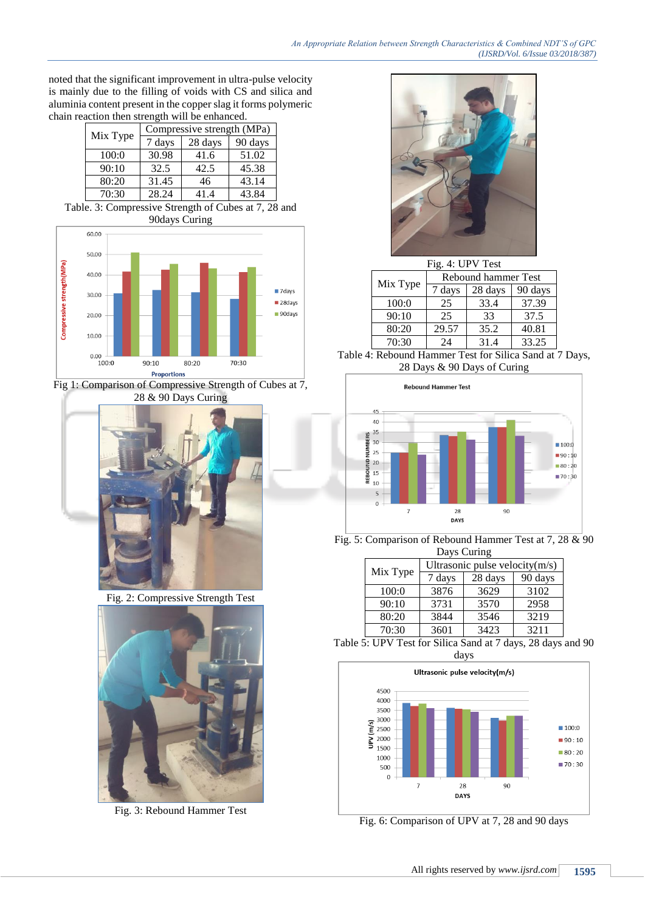noted that the significant improvement in ultra-pulse velocity is mainly due to the filling of voids with CS and silica and aluminia content present in the copper slag it forms polymeric chain reaction then strength will be enhanced.

| Compressive strength (MPa) |        |         |         |  |
|----------------------------|--------|---------|---------|--|
| Mix Type                   |        |         |         |  |
|                            | 7 days | 28 days | 90 days |  |
| 100:0                      | 30.98  | 41.6    | 51.02   |  |
| 90:10                      | 32.5   | 42.5    | 45.38   |  |
| 80:20                      | 31.45  | 46      | 43.14   |  |
| 70:30                      | 28.24  | 41.4    | 43.84   |  |

Table. 3: Compressive Strength of Cubes at 7, 28 and 90days Curing



Fig 1: Comparison of Compressive Strength of Cubes at 7, 28 & 90 Days Curing



Fig. 2: Compressive Strength Test



Fig. 3: Rebound Hammer Test



|  | Fig. 4: UPV Test |                     |         |         |  |
|--|------------------|---------------------|---------|---------|--|
|  | Mix Type         | Rebound hammer Test |         |         |  |
|  |                  | 7 days              | 28 days | 90 days |  |
|  | 100:0            | 25                  | 33.4    | 37.39   |  |
|  | 90:10            | 25                  | 33      | 37.5    |  |
|  | 80:20            | 29.57               | 35.2    | 40.81   |  |
|  | 70:30            | 24                  | 31.4    | 33.25   |  |

Table 4: Rebound Hammer Test for Silica Sand at 7 Days, 28 Days & 90 Days of Curing



Fig. 5: Comparison of Rebound Hammer Test at 7, 28 & 90 Days Curing

|          | Ultrasonic pulse velocity $(m/s)$ |         |         |  |
|----------|-----------------------------------|---------|---------|--|
| Mix Type | 7 days                            | 28 days | 90 days |  |
| 100:0    | 3876                              | 3629    | 3102    |  |
| 90:10    | 3731                              | 3570    | 2958    |  |
| 80:20    | 3844                              | 3546    | 3219    |  |
| 70:30    | 3601                              | 3423    | 3211    |  |

Table 5: UPV Test for Silica Sand at 7 days, 28 days and 90 days



Fig. 6: Comparison of UPV at 7, 28 and 90 days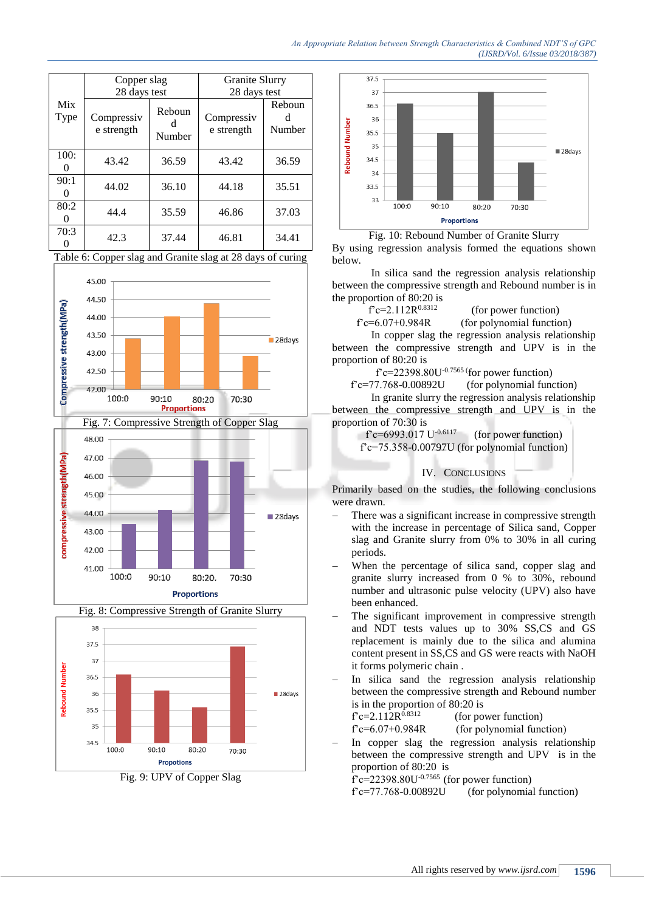|             | Copper slag              |                  | Granite Slurry           |                  |
|-------------|--------------------------|------------------|--------------------------|------------------|
|             | 28 days test             |                  | 28 days test             |                  |
| Mix<br>Type | Compressiv<br>e strength | Reboun<br>Number | Compressiv<br>e strength | Reboun<br>Number |
| 100:        | 43.42                    | 36.59            | 43.42                    | 36.59            |
| 90:1        | 44.02                    | 36.10            | 44.18                    | 35.51            |
| 80:2        | 44.4                     | 35.59            | 46.86                    | 37.03            |
| 70:3        | 42.3                     | 37.44            | 46.81                    | 34.41            |

Table 6: Copper slag and Granite slag at 28 days of curing







Fig. 9: UPV of Copper Slag



Fig. 10: Rebound Number of Granite Slurry

By using regression analysis formed the equations shown below.

In silica sand the regression analysis relationship between the compressive strength and Rebound number is in the proportion of 80:20 is

 $f^{\circ}c=2.112R^{0.8312}$ 

 (for power function)  $f'c=6.07+0.984R$  (for polynomial function)

In copper slag the regression analysis relationship between the compressive strength and UPV is in the proportion of 80:20 is

 $f$ <sup> $c=22398.80U$ -0.7565 (for power function)</sup>

 $f'c=77.768-0.00892U$  (for polynomial function)

In granite slurry the regression analysis relationship between the compressive strength and UPV is in the proportion of 70:30 is

f'c=6993.017 U<sup>-0.6117</sup> (for power function)

f'c=75.358-0.00797U (for polynomial function)

#### IV. CONCLUSIONS

Primarily based on the studies, the following conclusions were drawn.

- There was a significant increase in compressive strength with the increase in percentage of Silica sand, Copper slag and Granite slurry from 0% to 30% in all curing periods.
- When the percentage of silica sand, copper slag and granite slurry increased from 0 % to 30%, rebound number and ultrasonic pulse velocity (UPV) also have been enhanced.
- The significant improvement in compressive strength and NDT tests values up to 30% SS,CS and GS replacement is mainly due to the silica and alumina content present in SS,CS and GS were reacts with NaOH it forms polymeric chain .
- In silica sand the regression analysis relationship between the compressive strength and Rebound number is in the proportion of 80:20 is

 $f^{\circ}c=2.112R^{0.8312}$ (for power function)

 $f'c=6.07+0.984R$  (for polynomial function)

 In copper slag the regression analysis relationship between the compressive strength and UPV is in the proportion of 80:20 is

 $\int_0^{\infty}$   $c=22398.80U^{-0.7565}$  (for power function)

 $f'c=77.768-0.00892U$  (for polynomial function)